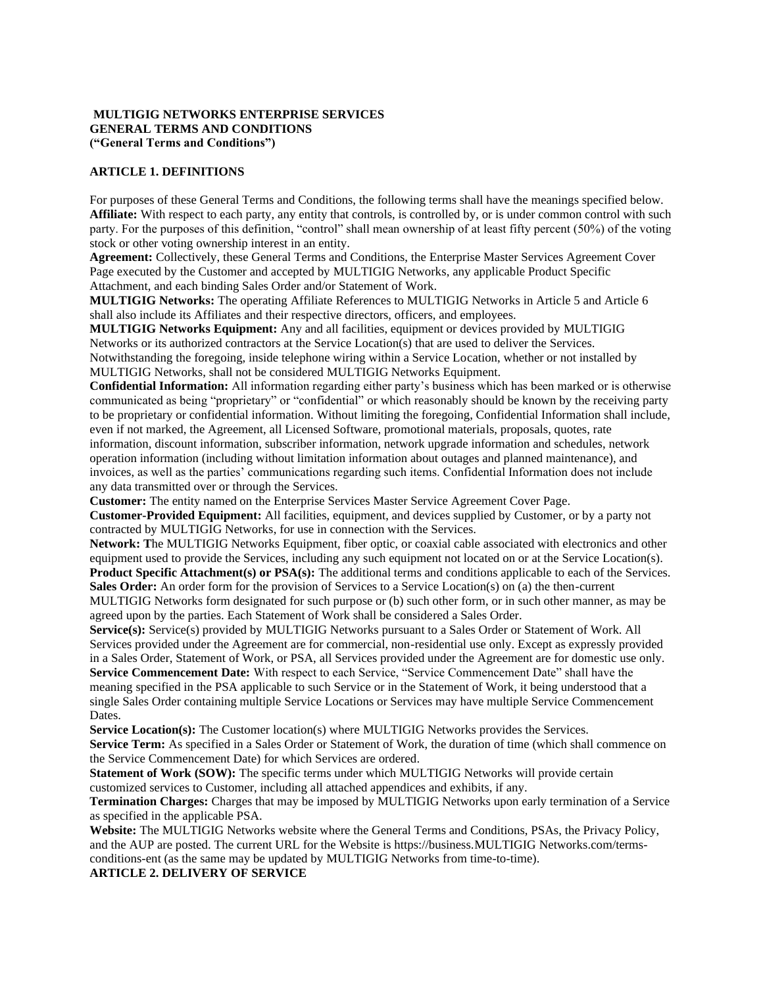## **MULTIGIG NETWORKS ENTERPRISE SERVICES GENERAL TERMS AND CONDITIONS ("General Terms and Conditions")**

## **ARTICLE 1. DEFINITIONS**

For purposes of these General Terms and Conditions, the following terms shall have the meanings specified below. **Affiliate:** With respect to each party, any entity that controls, is controlled by, or is under common control with such party. For the purposes of this definition, "control" shall mean ownership of at least fifty percent (50%) of the voting stock or other voting ownership interest in an entity.

**Agreement:** Collectively, these General Terms and Conditions, the Enterprise Master Services Agreement Cover Page executed by the Customer and accepted by MULTIGIG Networks, any applicable Product Specific Attachment, and each binding Sales Order and/or Statement of Work.

**MULTIGIG Networks:** The operating Affiliate References to MULTIGIG Networks in Article 5 and Article 6 shall also include its Affiliates and their respective directors, officers, and employees.

**MULTIGIG Networks Equipment:** Any and all facilities, equipment or devices provided by MULTIGIG Networks or its authorized contractors at the Service Location(s) that are used to deliver the Services. Notwithstanding the foregoing, inside telephone wiring within a Service Location, whether or not installed by MULTIGIG Networks, shall not be considered MULTIGIG Networks Equipment.

**Confidential Information:** All information regarding either party's business which has been marked or is otherwise communicated as being "proprietary" or "confidential" or which reasonably should be known by the receiving party to be proprietary or confidential information. Without limiting the foregoing, Confidential Information shall include, even if not marked, the Agreement, all Licensed Software, promotional materials, proposals, quotes, rate information, discount information, subscriber information, network upgrade information and schedules, network operation information (including without limitation information about outages and planned maintenance), and invoices, as well as the parties' communications regarding such items. Confidential Information does not include any data transmitted over or through the Services.

**Customer:** The entity named on the Enterprise Services Master Service Agreement Cover Page.

**Customer-Provided Equipment:** All facilities, equipment, and devices supplied by Customer, or by a party not contracted by MULTIGIG Networks, for use in connection with the Services.

**Network: T**he MULTIGIG Networks Equipment, fiber optic, or coaxial cable associated with electronics and other equipment used to provide the Services, including any such equipment not located on or at the Service Location(s). **Product Specific Attachment(s) or PSA(s):** The additional terms and conditions applicable to each of the Services.

**Sales Order:** An order form for the provision of Services to a Service Location(s) on (a) the then-current MULTIGIG Networks form designated for such purpose or (b) such other form, or in such other manner, as may be agreed upon by the parties. Each Statement of Work shall be considered a Sales Order.

**Service(s):** Service(s) provided by MULTIGIG Networks pursuant to a Sales Order or Statement of Work. All Services provided under the Agreement are for commercial, non-residential use only. Except as expressly provided in a Sales Order, Statement of Work, or PSA, all Services provided under the Agreement are for domestic use only. **Service Commencement Date:** With respect to each Service, "Service Commencement Date" shall have the meaning specified in the PSA applicable to such Service or in the Statement of Work, it being understood that a single Sales Order containing multiple Service Locations or Services may have multiple Service Commencement Dates.

**Service Location(s):** The Customer location(s) where MULTIGIG Networks provides the Services.

**Service Term:** As specified in a Sales Order or Statement of Work, the duration of time (which shall commence on the Service Commencement Date) for which Services are ordered.

**Statement of Work (SOW):** The specific terms under which MULTIGIG Networks will provide certain customized services to Customer, including all attached appendices and exhibits, if any.

**Termination Charges:** Charges that may be imposed by MULTIGIG Networks upon early termination of a Service as specified in the applicable PSA.

**Website:** The MULTIGIG Networks website where the General Terms and Conditions, PSAs, the Privacy Policy, and the AUP are posted. The current URL for the Website is https://business.MULTIGIG Networks.com/termsconditions-ent (as the same may be updated by MULTIGIG Networks from time-to-time).

**ARTICLE 2. DELIVERY OF SERVICE**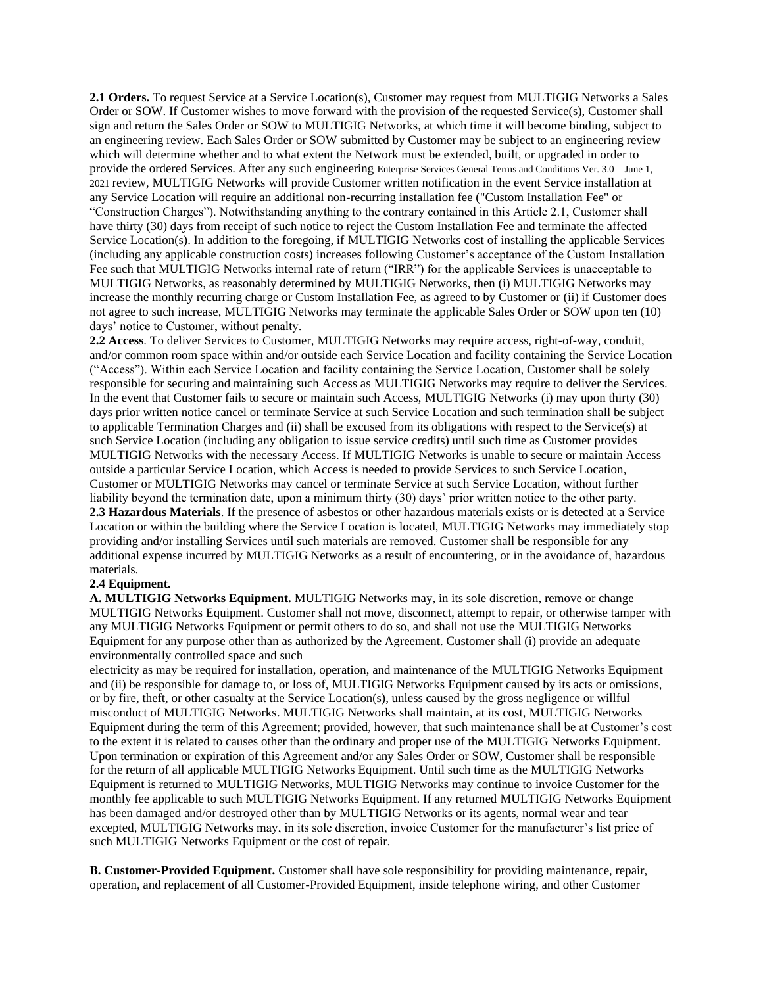**2.1 Orders.** To request Service at a Service Location(s), Customer may request from MULTIGIG Networks a Sales Order or SOW. If Customer wishes to move forward with the provision of the requested Service(s), Customer shall sign and return the Sales Order or SOW to MULTIGIG Networks, at which time it will become binding, subject to an engineering review. Each Sales Order or SOW submitted by Customer may be subject to an engineering review which will determine whether and to what extent the Network must be extended, built, or upgraded in order to provide the ordered Services. After any such engineering Enterprise Services General Terms and Conditions Ver. 3.0 – June 1, 2021 review, MULTIGIG Networks will provide Customer written notification in the event Service installation at any Service Location will require an additional non-recurring installation fee ("Custom Installation Fee" or "Construction Charges"). Notwithstanding anything to the contrary contained in this Article 2.1, Customer shall have thirty (30) days from receipt of such notice to reject the Custom Installation Fee and terminate the affected Service Location(s). In addition to the foregoing, if MULTIGIG Networks cost of installing the applicable Services (including any applicable construction costs) increases following Customer's acceptance of the Custom Installation Fee such that MULTIGIG Networks internal rate of return ("IRR") for the applicable Services is unacceptable to MULTIGIG Networks, as reasonably determined by MULTIGIG Networks, then (i) MULTIGIG Networks may increase the monthly recurring charge or Custom Installation Fee, as agreed to by Customer or (ii) if Customer does not agree to such increase, MULTIGIG Networks may terminate the applicable Sales Order or SOW upon ten (10) days' notice to Customer, without penalty.

**2.2 Access**. To deliver Services to Customer, MULTIGIG Networks may require access, right-of-way, conduit, and/or common room space within and/or outside each Service Location and facility containing the Service Location ("Access"). Within each Service Location and facility containing the Service Location, Customer shall be solely responsible for securing and maintaining such Access as MULTIGIG Networks may require to deliver the Services. In the event that Customer fails to secure or maintain such Access, MULTIGIG Networks (i) may upon thirty (30) days prior written notice cancel or terminate Service at such Service Location and such termination shall be subject to applicable Termination Charges and (ii) shall be excused from its obligations with respect to the Service(s) at such Service Location (including any obligation to issue service credits) until such time as Customer provides MULTIGIG Networks with the necessary Access. If MULTIGIG Networks is unable to secure or maintain Access outside a particular Service Location, which Access is needed to provide Services to such Service Location, Customer or MULTIGIG Networks may cancel or terminate Service at such Service Location, without further liability beyond the termination date, upon a minimum thirty (30) days' prior written notice to the other party. **2.3 Hazardous Materials**. If the presence of asbestos or other hazardous materials exists or is detected at a Service Location or within the building where the Service Location is located, MULTIGIG Networks may immediately stop providing and/or installing Services until such materials are removed. Customer shall be responsible for any additional expense incurred by MULTIGIG Networks as a result of encountering, or in the avoidance of, hazardous materials.

### **2.4 Equipment.**

**A. MULTIGIG Networks Equipment.** MULTIGIG Networks may, in its sole discretion, remove or change MULTIGIG Networks Equipment. Customer shall not move, disconnect, attempt to repair, or otherwise tamper with any MULTIGIG Networks Equipment or permit others to do so, and shall not use the MULTIGIG Networks Equipment for any purpose other than as authorized by the Agreement. Customer shall (i) provide an adequate environmentally controlled space and such

electricity as may be required for installation, operation, and maintenance of the MULTIGIG Networks Equipment and (ii) be responsible for damage to, or loss of, MULTIGIG Networks Equipment caused by its acts or omissions, or by fire, theft, or other casualty at the Service Location(s), unless caused by the gross negligence or willful misconduct of MULTIGIG Networks. MULTIGIG Networks shall maintain, at its cost, MULTIGIG Networks Equipment during the term of this Agreement; provided, however, that such maintenance shall be at Customer's cost to the extent it is related to causes other than the ordinary and proper use of the MULTIGIG Networks Equipment. Upon termination or expiration of this Agreement and/or any Sales Order or SOW, Customer shall be responsible for the return of all applicable MULTIGIG Networks Equipment. Until such time as the MULTIGIG Networks Equipment is returned to MULTIGIG Networks, MULTIGIG Networks may continue to invoice Customer for the monthly fee applicable to such MULTIGIG Networks Equipment. If any returned MULTIGIG Networks Equipment has been damaged and/or destroyed other than by MULTIGIG Networks or its agents, normal wear and tear excepted, MULTIGIG Networks may, in its sole discretion, invoice Customer for the manufacturer's list price of such MULTIGIG Networks Equipment or the cost of repair.

**B. Customer-Provided Equipment.** Customer shall have sole responsibility for providing maintenance, repair, operation, and replacement of all Customer-Provided Equipment, inside telephone wiring, and other Customer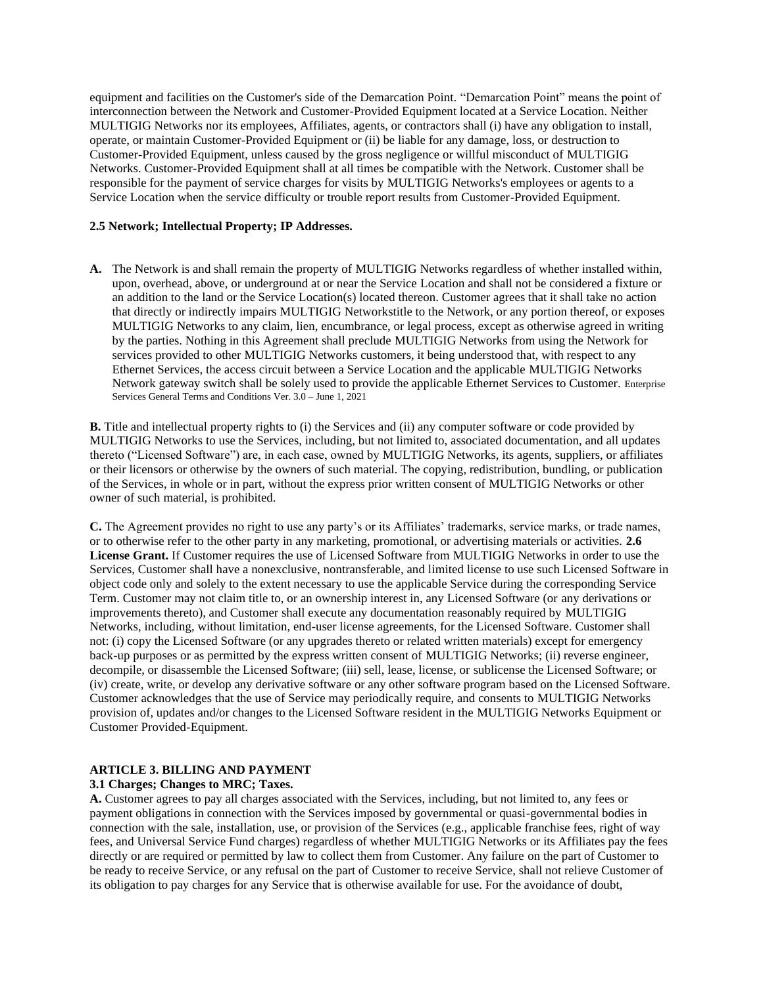equipment and facilities on the Customer's side of the Demarcation Point. "Demarcation Point" means the point of interconnection between the Network and Customer-Provided Equipment located at a Service Location. Neither MULTIGIG Networks nor its employees, Affiliates, agents, or contractors shall (i) have any obligation to install, operate, or maintain Customer-Provided Equipment or (ii) be liable for any damage, loss, or destruction to Customer-Provided Equipment, unless caused by the gross negligence or willful misconduct of MULTIGIG Networks. Customer-Provided Equipment shall at all times be compatible with the Network. Customer shall be responsible for the payment of service charges for visits by MULTIGIG Networks's employees or agents to a Service Location when the service difficulty or trouble report results from Customer-Provided Equipment.

## **2.5 Network; Intellectual Property; IP Addresses.**

**A.** The Network is and shall remain the property of MULTIGIG Networks regardless of whether installed within, upon, overhead, above, or underground at or near the Service Location and shall not be considered a fixture or an addition to the land or the Service Location(s) located thereon. Customer agrees that it shall take no action that directly or indirectly impairs MULTIGIG Networkstitle to the Network, or any portion thereof, or exposes MULTIGIG Networks to any claim, lien, encumbrance, or legal process, except as otherwise agreed in writing by the parties. Nothing in this Agreement shall preclude MULTIGIG Networks from using the Network for services provided to other MULTIGIG Networks customers, it being understood that, with respect to any Ethernet Services, the access circuit between a Service Location and the applicable MULTIGIG Networks Network gateway switch shall be solely used to provide the applicable Ethernet Services to Customer. Enterprise Services General Terms and Conditions Ver. 3.0 – June 1, 2021

**B.** Title and intellectual property rights to (i) the Services and (ii) any computer software or code provided by MULTIGIG Networks to use the Services, including, but not limited to, associated documentation, and all updates thereto ("Licensed Software") are, in each case, owned by MULTIGIG Networks, its agents, suppliers, or affiliates or their licensors or otherwise by the owners of such material. The copying, redistribution, bundling, or publication of the Services, in whole or in part, without the express prior written consent of MULTIGIG Networks or other owner of such material, is prohibited.

**C.** The Agreement provides no right to use any party's or its Affiliates' trademarks, service marks, or trade names, or to otherwise refer to the other party in any marketing, promotional, or advertising materials or activities. **2.6 License Grant.** If Customer requires the use of Licensed Software from MULTIGIG Networks in order to use the Services, Customer shall have a nonexclusive, nontransferable, and limited license to use such Licensed Software in object code only and solely to the extent necessary to use the applicable Service during the corresponding Service Term. Customer may not claim title to, or an ownership interest in, any Licensed Software (or any derivations or improvements thereto), and Customer shall execute any documentation reasonably required by MULTIGIG Networks, including, without limitation, end-user license agreements, for the Licensed Software. Customer shall not: (i) copy the Licensed Software (or any upgrades thereto or related written materials) except for emergency back-up purposes or as permitted by the express written consent of MULTIGIG Networks; (ii) reverse engineer, decompile, or disassemble the Licensed Software; (iii) sell, lease, license, or sublicense the Licensed Software; or (iv) create, write, or develop any derivative software or any other software program based on the Licensed Software. Customer acknowledges that the use of Service may periodically require, and consents to MULTIGIG Networks provision of, updates and/or changes to the Licensed Software resident in the MULTIGIG Networks Equipment or Customer Provided-Equipment.

# **ARTICLE 3. BILLING AND PAYMENT**

### **3.1 Charges; Changes to MRC; Taxes.**

**A.** Customer agrees to pay all charges associated with the Services, including, but not limited to, any fees or payment obligations in connection with the Services imposed by governmental or quasi-governmental bodies in connection with the sale, installation, use, or provision of the Services (e.g., applicable franchise fees, right of way fees, and Universal Service Fund charges) regardless of whether MULTIGIG Networks or its Affiliates pay the fees directly or are required or permitted by law to collect them from Customer. Any failure on the part of Customer to be ready to receive Service, or any refusal on the part of Customer to receive Service, shall not relieve Customer of its obligation to pay charges for any Service that is otherwise available for use. For the avoidance of doubt,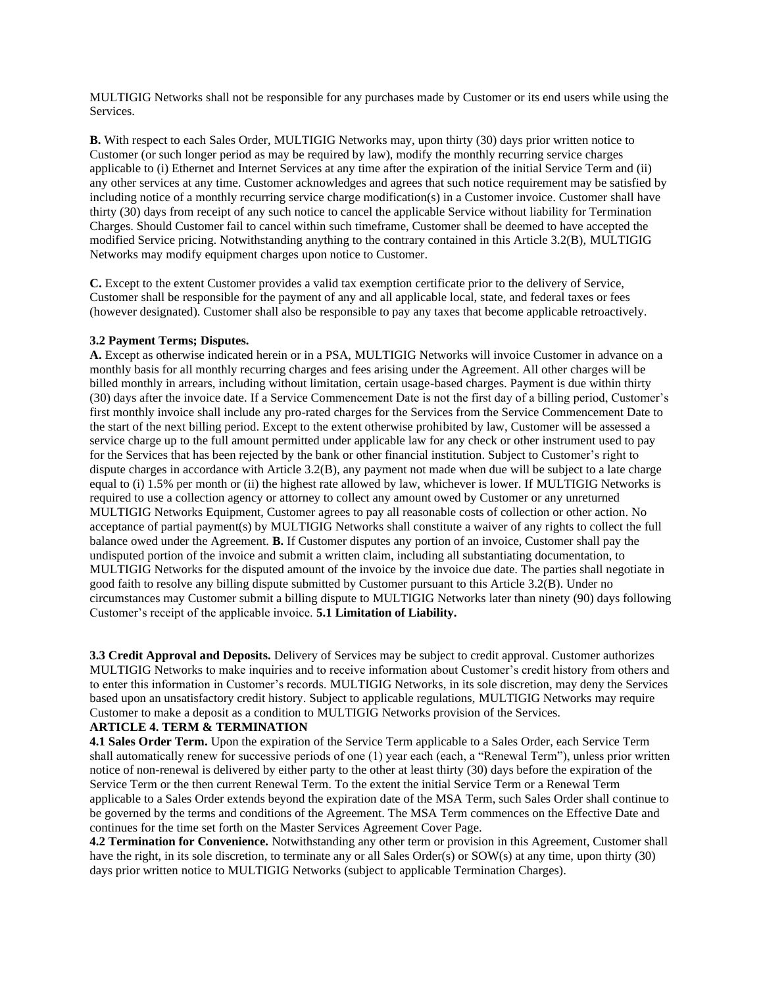MULTIGIG Networks shall not be responsible for any purchases made by Customer or its end users while using the Services.

**B.** With respect to each Sales Order, MULTIGIG Networks may, upon thirty (30) days prior written notice to Customer (or such longer period as may be required by law), modify the monthly recurring service charges applicable to (i) Ethernet and Internet Services at any time after the expiration of the initial Service Term and (ii) any other services at any time. Customer acknowledges and agrees that such notice requirement may be satisfied by including notice of a monthly recurring service charge modification(s) in a Customer invoice. Customer shall have thirty (30) days from receipt of any such notice to cancel the applicable Service without liability for Termination Charges. Should Customer fail to cancel within such timeframe, Customer shall be deemed to have accepted the modified Service pricing. Notwithstanding anything to the contrary contained in this Article 3.2(B), MULTIGIG Networks may modify equipment charges upon notice to Customer.

**C.** Except to the extent Customer provides a valid tax exemption certificate prior to the delivery of Service, Customer shall be responsible for the payment of any and all applicable local, state, and federal taxes or fees (however designated). Customer shall also be responsible to pay any taxes that become applicable retroactively.

### **3.2 Payment Terms; Disputes.**

**A.** Except as otherwise indicated herein or in a PSA, MULTIGIG Networks will invoice Customer in advance on a monthly basis for all monthly recurring charges and fees arising under the Agreement. All other charges will be billed monthly in arrears, including without limitation, certain usage-based charges. Payment is due within thirty (30) days after the invoice date. If a Service Commencement Date is not the first day of a billing period, Customer's first monthly invoice shall include any pro-rated charges for the Services from the Service Commencement Date to the start of the next billing period. Except to the extent otherwise prohibited by law, Customer will be assessed a service charge up to the full amount permitted under applicable law for any check or other instrument used to pay for the Services that has been rejected by the bank or other financial institution. Subject to Customer's right to dispute charges in accordance with Article 3.2(B), any payment not made when due will be subject to a late charge equal to (i) 1.5% per month or (ii) the highest rate allowed by law, whichever is lower. If MULTIGIG Networks is required to use a collection agency or attorney to collect any amount owed by Customer or any unreturned MULTIGIG Networks Equipment, Customer agrees to pay all reasonable costs of collection or other action. No acceptance of partial payment(s) by MULTIGIG Networks shall constitute a waiver of any rights to collect the full balance owed under the Agreement. **B.** If Customer disputes any portion of an invoice, Customer shall pay the undisputed portion of the invoice and submit a written claim, including all substantiating documentation, to MULTIGIG Networks for the disputed amount of the invoice by the invoice due date. The parties shall negotiate in good faith to resolve any billing dispute submitted by Customer pursuant to this Article 3.2(B). Under no circumstances may Customer submit a billing dispute to MULTIGIG Networks later than ninety (90) days following Customer's receipt of the applicable invoice. **5.1 Limitation of Liability.** 

**3.3 Credit Approval and Deposits.** Delivery of Services may be subject to credit approval. Customer authorizes MULTIGIG Networks to make inquiries and to receive information about Customer's credit history from others and to enter this information in Customer's records. MULTIGIG Networks, in its sole discretion, may deny the Services based upon an unsatisfactory credit history. Subject to applicable regulations, MULTIGIG Networks may require Customer to make a deposit as a condition to MULTIGIG Networks provision of the Services.

## **ARTICLE 4. TERM & TERMINATION**

**4.1 Sales Order Term.** Upon the expiration of the Service Term applicable to a Sales Order, each Service Term shall automatically renew for successive periods of one (1) year each (each, a "Renewal Term"), unless prior written notice of non-renewal is delivered by either party to the other at least thirty (30) days before the expiration of the Service Term or the then current Renewal Term. To the extent the initial Service Term or a Renewal Term applicable to a Sales Order extends beyond the expiration date of the MSA Term, such Sales Order shall continue to be governed by the terms and conditions of the Agreement. The MSA Term commences on the Effective Date and continues for the time set forth on the Master Services Agreement Cover Page.

**4.2 Termination for Convenience.** Notwithstanding any other term or provision in this Agreement, Customer shall have the right, in its sole discretion, to terminate any or all Sales Order(s) or SOW(s) at any time, upon thirty (30) days prior written notice to MULTIGIG Networks (subject to applicable Termination Charges).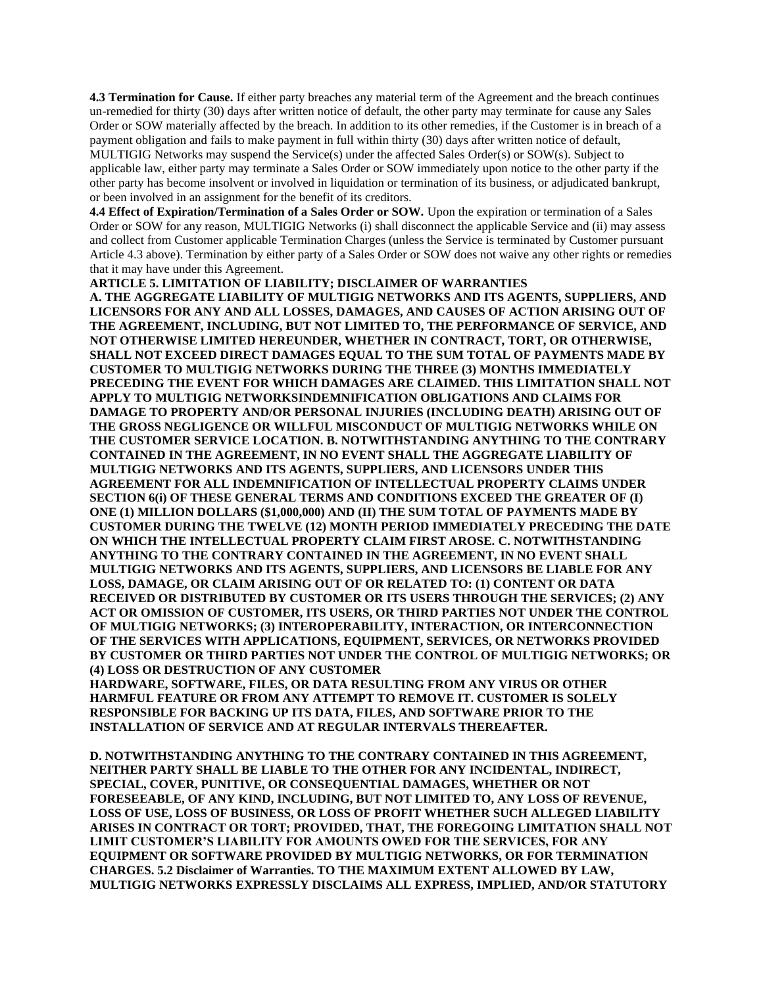**4.3 Termination for Cause.** If either party breaches any material term of the Agreement and the breach continues un-remedied for thirty (30) days after written notice of default, the other party may terminate for cause any Sales Order or SOW materially affected by the breach. In addition to its other remedies, if the Customer is in breach of a payment obligation and fails to make payment in full within thirty (30) days after written notice of default, MULTIGIG Networks may suspend the Service(s) under the affected Sales Order(s) or SOW(s). Subject to applicable law, either party may terminate a Sales Order or SOW immediately upon notice to the other party if the other party has become insolvent or involved in liquidation or termination of its business, or adjudicated bankrupt, or been involved in an assignment for the benefit of its creditors.

**4.4 Effect of Expiration/Termination of a Sales Order or SOW.** Upon the expiration or termination of a Sales Order or SOW for any reason, MULTIGIG Networks (i) shall disconnect the applicable Service and (ii) may assess and collect from Customer applicable Termination Charges (unless the Service is terminated by Customer pursuant Article 4.3 above). Termination by either party of a Sales Order or SOW does not waive any other rights or remedies that it may have under this Agreement.

**ARTICLE 5. LIMITATION OF LIABILITY; DISCLAIMER OF WARRANTIES A. THE AGGREGATE LIABILITY OF MULTIGIG NETWORKS AND ITS AGENTS, SUPPLIERS, AND LICENSORS FOR ANY AND ALL LOSSES, DAMAGES, AND CAUSES OF ACTION ARISING OUT OF THE AGREEMENT, INCLUDING, BUT NOT LIMITED TO, THE PERFORMANCE OF SERVICE, AND NOT OTHERWISE LIMITED HEREUNDER, WHETHER IN CONTRACT, TORT, OR OTHERWISE, SHALL NOT EXCEED DIRECT DAMAGES EQUAL TO THE SUM TOTAL OF PAYMENTS MADE BY CUSTOMER TO MULTIGIG NETWORKS DURING THE THREE (3) MONTHS IMMEDIATELY PRECEDING THE EVENT FOR WHICH DAMAGES ARE CLAIMED. THIS LIMITATION SHALL NOT APPLY TO MULTIGIG NETWORKSINDEMNIFICATION OBLIGATIONS AND CLAIMS FOR DAMAGE TO PROPERTY AND/OR PERSONAL INJURIES (INCLUDING DEATH) ARISING OUT OF THE GROSS NEGLIGENCE OR WILLFUL MISCONDUCT OF MULTIGIG NETWORKS WHILE ON THE CUSTOMER SERVICE LOCATION. B. NOTWITHSTANDING ANYTHING TO THE CONTRARY CONTAINED IN THE AGREEMENT, IN NO EVENT SHALL THE AGGREGATE LIABILITY OF MULTIGIG NETWORKS AND ITS AGENTS, SUPPLIERS, AND LICENSORS UNDER THIS AGREEMENT FOR ALL INDEMNIFICATION OF INTELLECTUAL PROPERTY CLAIMS UNDER SECTION 6(i) OF THESE GENERAL TERMS AND CONDITIONS EXCEED THE GREATER OF (I) ONE (1) MILLION DOLLARS (\$1,000,000) AND (II) THE SUM TOTAL OF PAYMENTS MADE BY CUSTOMER DURING THE TWELVE (12) MONTH PERIOD IMMEDIATELY PRECEDING THE DATE ON WHICH THE INTELLECTUAL PROPERTY CLAIM FIRST AROSE. C. NOTWITHSTANDING ANYTHING TO THE CONTRARY CONTAINED IN THE AGREEMENT, IN NO EVENT SHALL MULTIGIG NETWORKS AND ITS AGENTS, SUPPLIERS, AND LICENSORS BE LIABLE FOR ANY LOSS, DAMAGE, OR CLAIM ARISING OUT OF OR RELATED TO: (1) CONTENT OR DATA RECEIVED OR DISTRIBUTED BY CUSTOMER OR ITS USERS THROUGH THE SERVICES; (2) ANY ACT OR OMISSION OF CUSTOMER, ITS USERS, OR THIRD PARTIES NOT UNDER THE CONTROL OF MULTIGIG NETWORKS; (3) INTEROPERABILITY, INTERACTION, OR INTERCONNECTION OF THE SERVICES WITH APPLICATIONS, EQUIPMENT, SERVICES, OR NETWORKS PROVIDED BY CUSTOMER OR THIRD PARTIES NOT UNDER THE CONTROL OF MULTIGIG NETWORKS; OR (4) LOSS OR DESTRUCTION OF ANY CUSTOMER** 

**HARDWARE, SOFTWARE, FILES, OR DATA RESULTING FROM ANY VIRUS OR OTHER HARMFUL FEATURE OR FROM ANY ATTEMPT TO REMOVE IT. CUSTOMER IS SOLELY RESPONSIBLE FOR BACKING UP ITS DATA, FILES, AND SOFTWARE PRIOR TO THE INSTALLATION OF SERVICE AND AT REGULAR INTERVALS THEREAFTER.** 

**D. NOTWITHSTANDING ANYTHING TO THE CONTRARY CONTAINED IN THIS AGREEMENT, NEITHER PARTY SHALL BE LIABLE TO THE OTHER FOR ANY INCIDENTAL, INDIRECT, SPECIAL, COVER, PUNITIVE, OR CONSEQUENTIAL DAMAGES, WHETHER OR NOT FORESEEABLE, OF ANY KIND, INCLUDING, BUT NOT LIMITED TO, ANY LOSS OF REVENUE, LOSS OF USE, LOSS OF BUSINESS, OR LOSS OF PROFIT WHETHER SUCH ALLEGED LIABILITY ARISES IN CONTRACT OR TORT; PROVIDED, THAT, THE FOREGOING LIMITATION SHALL NOT LIMIT CUSTOMER'S LIABILITY FOR AMOUNTS OWED FOR THE SERVICES, FOR ANY EQUIPMENT OR SOFTWARE PROVIDED BY MULTIGIG NETWORKS, OR FOR TERMINATION CHARGES. 5.2 Disclaimer of Warranties. TO THE MAXIMUM EXTENT ALLOWED BY LAW, MULTIGIG NETWORKS EXPRESSLY DISCLAIMS ALL EXPRESS, IMPLIED, AND/OR STATUTORY**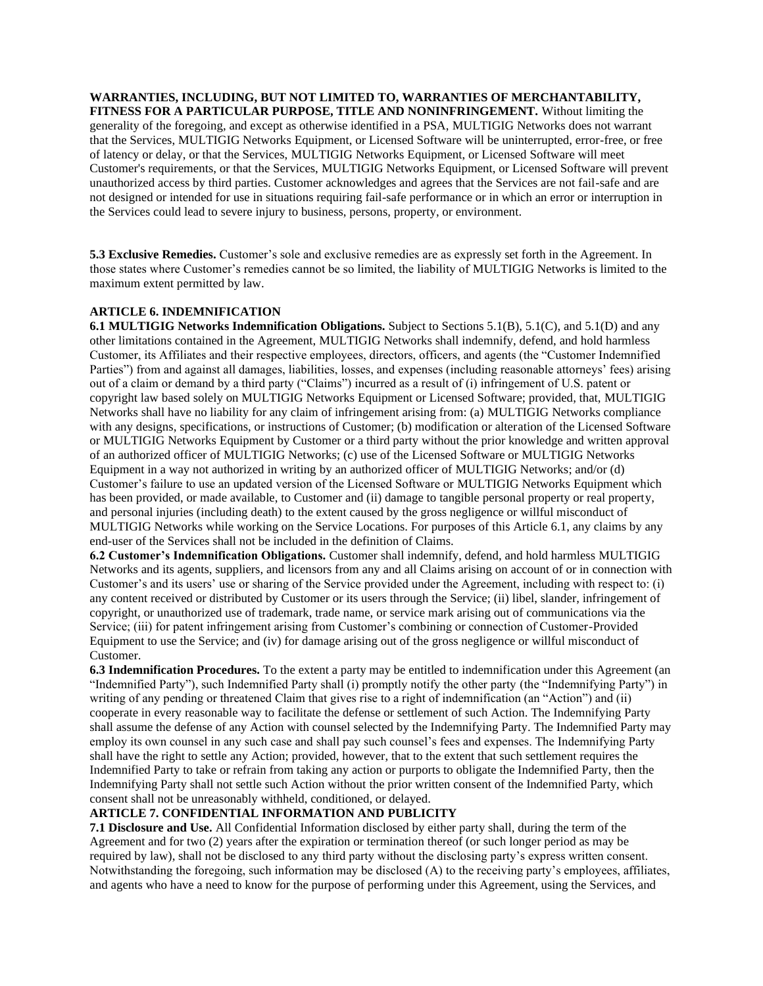**WARRANTIES, INCLUDING, BUT NOT LIMITED TO, WARRANTIES OF MERCHANTABILITY, FITNESS FOR A PARTICULAR PURPOSE, TITLE AND NONINFRINGEMENT.** Without limiting the generality of the foregoing, and except as otherwise identified in a PSA, MULTIGIG Networks does not warrant that the Services, MULTIGIG Networks Equipment, or Licensed Software will be uninterrupted, error-free, or free of latency or delay, or that the Services, MULTIGIG Networks Equipment, or Licensed Software will meet Customer's requirements, or that the Services, MULTIGIG Networks Equipment, or Licensed Software will prevent unauthorized access by third parties. Customer acknowledges and agrees that the Services are not fail-safe and are not designed or intended for use in situations requiring fail-safe performance or in which an error or interruption in the Services could lead to severe injury to business, persons, property, or environment.

**5.3 Exclusive Remedies.** Customer's sole and exclusive remedies are as expressly set forth in the Agreement. In those states where Customer's remedies cannot be so limited, the liability of MULTIGIG Networks is limited to the maximum extent permitted by law.

### **ARTICLE 6. INDEMNIFICATION**

**6.1 MULTIGIG Networks Indemnification Obligations.** Subject to Sections 5.1(B), 5.1(C), and 5.1(D) and any other limitations contained in the Agreement, MULTIGIG Networks shall indemnify, defend, and hold harmless Customer, its Affiliates and their respective employees, directors, officers, and agents (the "Customer Indemnified Parties") from and against all damages, liabilities, losses, and expenses (including reasonable attorneys' fees) arising out of a claim or demand by a third party ("Claims") incurred as a result of (i) infringement of U.S. patent or copyright law based solely on MULTIGIG Networks Equipment or Licensed Software; provided, that, MULTIGIG Networks shall have no liability for any claim of infringement arising from: (a) MULTIGIG Networks compliance with any designs, specifications, or instructions of Customer; (b) modification or alteration of the Licensed Software or MULTIGIG Networks Equipment by Customer or a third party without the prior knowledge and written approval of an authorized officer of MULTIGIG Networks; (c) use of the Licensed Software or MULTIGIG Networks Equipment in a way not authorized in writing by an authorized officer of MULTIGIG Networks; and/or (d) Customer's failure to use an updated version of the Licensed Software or MULTIGIG Networks Equipment which has been provided, or made available, to Customer and (ii) damage to tangible personal property or real property, and personal injuries (including death) to the extent caused by the gross negligence or willful misconduct of MULTIGIG Networks while working on the Service Locations. For purposes of this Article 6.1, any claims by any end-user of the Services shall not be included in the definition of Claims.

**6.2 Customer's Indemnification Obligations.** Customer shall indemnify, defend, and hold harmless MULTIGIG Networks and its agents, suppliers, and licensors from any and all Claims arising on account of or in connection with Customer's and its users' use or sharing of the Service provided under the Agreement, including with respect to: (i) any content received or distributed by Customer or its users through the Service; (ii) libel, slander, infringement of copyright, or unauthorized use of trademark, trade name, or service mark arising out of communications via the Service; (iii) for patent infringement arising from Customer's combining or connection of Customer-Provided Equipment to use the Service; and (iv) for damage arising out of the gross negligence or willful misconduct of Customer.

**6.3 Indemnification Procedures.** To the extent a party may be entitled to indemnification under this Agreement (an "Indemnified Party"), such Indemnified Party shall (i) promptly notify the other party (the "Indemnifying Party") in writing of any pending or threatened Claim that gives rise to a right of indemnification (an "Action") and (ii) cooperate in every reasonable way to facilitate the defense or settlement of such Action. The Indemnifying Party shall assume the defense of any Action with counsel selected by the Indemnifying Party. The Indemnified Party may employ its own counsel in any such case and shall pay such counsel's fees and expenses. The Indemnifying Party shall have the right to settle any Action; provided, however, that to the extent that such settlement requires the Indemnified Party to take or refrain from taking any action or purports to obligate the Indemnified Party, then the Indemnifying Party shall not settle such Action without the prior written consent of the Indemnified Party, which consent shall not be unreasonably withheld, conditioned, or delayed.

# **ARTICLE 7. CONFIDENTIAL INFORMATION AND PUBLICITY**

**7.1 Disclosure and Use.** All Confidential Information disclosed by either party shall, during the term of the Agreement and for two (2) years after the expiration or termination thereof (or such longer period as may be required by law), shall not be disclosed to any third party without the disclosing party's express written consent. Notwithstanding the foregoing, such information may be disclosed (A) to the receiving party's employees, affiliates, and agents who have a need to know for the purpose of performing under this Agreement, using the Services, and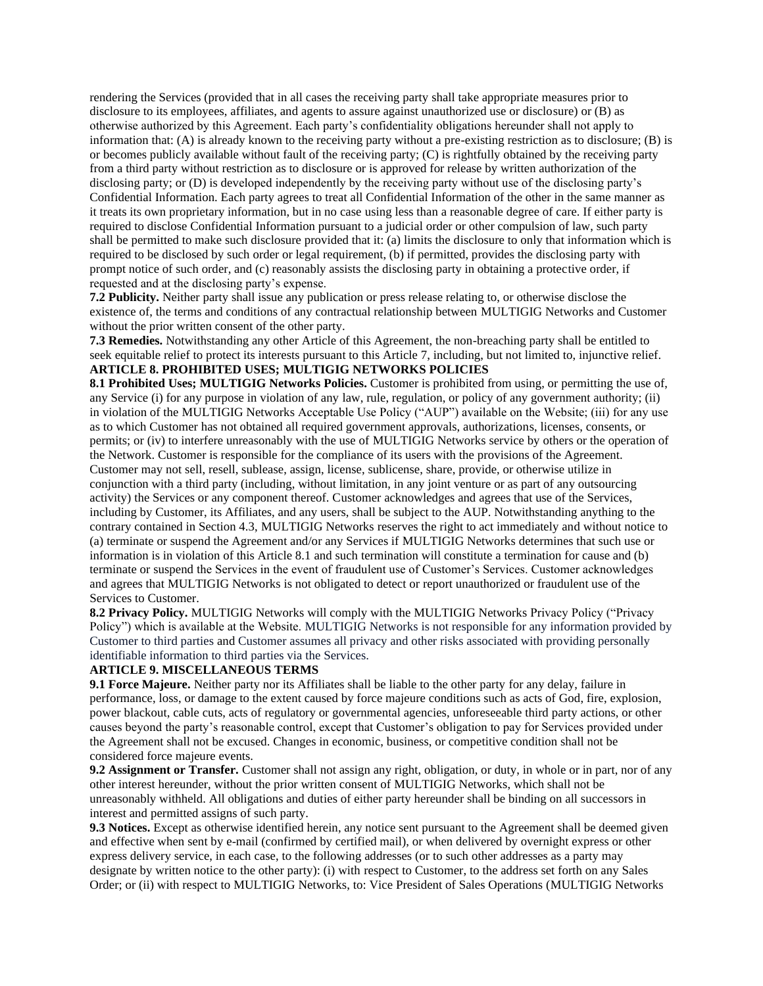rendering the Services (provided that in all cases the receiving party shall take appropriate measures prior to disclosure to its employees, affiliates, and agents to assure against unauthorized use or disclosure) or (B) as otherwise authorized by this Agreement. Each party's confidentiality obligations hereunder shall not apply to information that: (A) is already known to the receiving party without a pre-existing restriction as to disclosure; (B) is or becomes publicly available without fault of the receiving party; (C) is rightfully obtained by the receiving party from a third party without restriction as to disclosure or is approved for release by written authorization of the disclosing party; or (D) is developed independently by the receiving party without use of the disclosing party's Confidential Information. Each party agrees to treat all Confidential Information of the other in the same manner as it treats its own proprietary information, but in no case using less than a reasonable degree of care. If either party is required to disclose Confidential Information pursuant to a judicial order or other compulsion of law, such party shall be permitted to make such disclosure provided that it: (a) limits the disclosure to only that information which is required to be disclosed by such order or legal requirement, (b) if permitted, provides the disclosing party with prompt notice of such order, and (c) reasonably assists the disclosing party in obtaining a protective order, if requested and at the disclosing party's expense.

**7.2 Publicity.** Neither party shall issue any publication or press release relating to, or otherwise disclose the existence of, the terms and conditions of any contractual relationship between MULTIGIG Networks and Customer without the prior written consent of the other party.

**7.3 Remedies.** Notwithstanding any other Article of this Agreement, the non-breaching party shall be entitled to seek equitable relief to protect its interests pursuant to this Article 7, including, but not limited to, injunctive relief. **ARTICLE 8. PROHIBITED USES; MULTIGIG NETWORKS POLICIES** 

**8.1 Prohibited Uses; MULTIGIG Networks Policies.** Customer is prohibited from using, or permitting the use of, any Service (i) for any purpose in violation of any law, rule, regulation, or policy of any government authority; (ii) in violation of the MULTIGIG Networks Acceptable Use Policy ("AUP") available on the Website; (iii) for any use as to which Customer has not obtained all required government approvals, authorizations, licenses, consents, or permits; or (iv) to interfere unreasonably with the use of MULTIGIG Networks service by others or the operation of the Network. Customer is responsible for the compliance of its users with the provisions of the Agreement. Customer may not sell, resell, sublease, assign, license, sublicense, share, provide, or otherwise utilize in conjunction with a third party (including, without limitation, in any joint venture or as part of any outsourcing activity) the Services or any component thereof. Customer acknowledges and agrees that use of the Services, including by Customer, its Affiliates, and any users, shall be subject to the AUP. Notwithstanding anything to the contrary contained in Section 4.3, MULTIGIG Networks reserves the right to act immediately and without notice to (a) terminate or suspend the Agreement and/or any Services if MULTIGIG Networks determines that such use or information is in violation of this Article 8.1 and such termination will constitute a termination for cause and (b) terminate or suspend the Services in the event of fraudulent use of Customer's Services. Customer acknowledges and agrees that MULTIGIG Networks is not obligated to detect or report unauthorized or fraudulent use of the Services to Customer.

**8.2 Privacy Policy.** MULTIGIG Networks will comply with the MULTIGIG Networks Privacy Policy ("Privacy Policy") which is available at the Website. MULTIGIG Networks is not responsible for any information provided by Customer to third parties and Customer assumes all privacy and other risks associated with providing personally identifiable information to third parties via the Services.

### **ARTICLE 9. MISCELLANEOUS TERMS**

**9.1 Force Majeure.** Neither party nor its Affiliates shall be liable to the other party for any delay, failure in performance, loss, or damage to the extent caused by force majeure conditions such as acts of God, fire, explosion, power blackout, cable cuts, acts of regulatory or governmental agencies, unforeseeable third party actions, or other causes beyond the party's reasonable control, except that Customer's obligation to pay for Services provided under the Agreement shall not be excused. Changes in economic, business, or competitive condition shall not be considered force majeure events.

**9.2 Assignment or Transfer.** Customer shall not assign any right, obligation, or duty, in whole or in part, nor of any other interest hereunder, without the prior written consent of MULTIGIG Networks, which shall not be unreasonably withheld. All obligations and duties of either party hereunder shall be binding on all successors in interest and permitted assigns of such party.

**9.3 Notices.** Except as otherwise identified herein, any notice sent pursuant to the Agreement shall be deemed given and effective when sent by e-mail (confirmed by certified mail), or when delivered by overnight express or other express delivery service, in each case, to the following addresses (or to such other addresses as a party may designate by written notice to the other party): (i) with respect to Customer, to the address set forth on any Sales Order; or (ii) with respect to MULTIGIG Networks, to: Vice President of Sales Operations (MULTIGIG Networks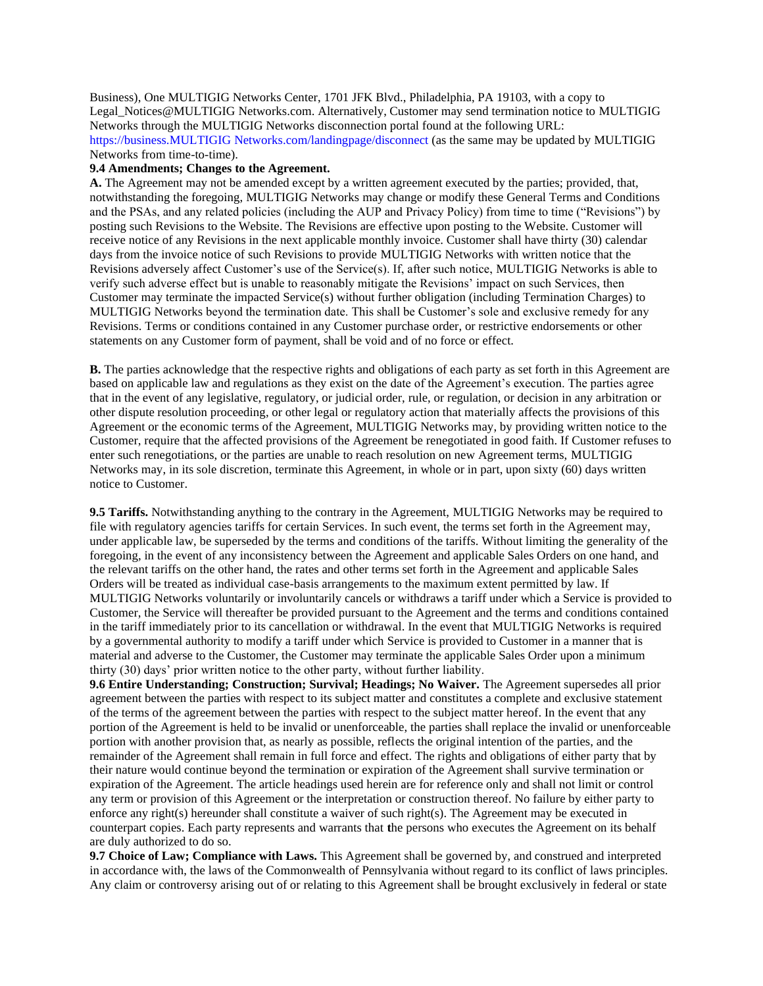Business), One MULTIGIG Networks Center, 1701 JFK Blvd., Philadelphia, PA 19103, with a copy to Legal\_Notices@MULTIGIG Networks.com. Alternatively, Customer may send termination notice to MULTIGIG Networks through the MULTIGIG Networks disconnection portal found at the following URL: https://business.MULTIGIG Networks.com/landingpage/disconnect (as the same may be updated by MULTIGIG Networks from time-to-time).

#### **9.4 Amendments; Changes to the Agreement.**

**A.** The Agreement may not be amended except by a written agreement executed by the parties; provided, that, notwithstanding the foregoing, MULTIGIG Networks may change or modify these General Terms and Conditions and the PSAs, and any related policies (including the AUP and Privacy Policy) from time to time ("Revisions") by posting such Revisions to the Website. The Revisions are effective upon posting to the Website. Customer will receive notice of any Revisions in the next applicable monthly invoice. Customer shall have thirty (30) calendar days from the invoice notice of such Revisions to provide MULTIGIG Networks with written notice that the Revisions adversely affect Customer's use of the Service(s). If, after such notice, MULTIGIG Networks is able to verify such adverse effect but is unable to reasonably mitigate the Revisions' impact on such Services, then Customer may terminate the impacted Service(s) without further obligation (including Termination Charges) to MULTIGIG Networks beyond the termination date. This shall be Customer's sole and exclusive remedy for any Revisions. Terms or conditions contained in any Customer purchase order, or restrictive endorsements or other statements on any Customer form of payment, shall be void and of no force or effect.

**B.** The parties acknowledge that the respective rights and obligations of each party as set forth in this Agreement are based on applicable law and regulations as they exist on the date of the Agreement's execution. The parties agree that in the event of any legislative, regulatory, or judicial order, rule, or regulation, or decision in any arbitration or other dispute resolution proceeding, or other legal or regulatory action that materially affects the provisions of this Agreement or the economic terms of the Agreement, MULTIGIG Networks may, by providing written notice to the Customer, require that the affected provisions of the Agreement be renegotiated in good faith. If Customer refuses to enter such renegotiations, or the parties are unable to reach resolution on new Agreement terms, MULTIGIG Networks may, in its sole discretion, terminate this Agreement, in whole or in part, upon sixty (60) days written notice to Customer.

**9.5 Tariffs.** Notwithstanding anything to the contrary in the Agreement, MULTIGIG Networks may be required to file with regulatory agencies tariffs for certain Services. In such event, the terms set forth in the Agreement may, under applicable law, be superseded by the terms and conditions of the tariffs. Without limiting the generality of the foregoing, in the event of any inconsistency between the Agreement and applicable Sales Orders on one hand, and the relevant tariffs on the other hand, the rates and other terms set forth in the Agreement and applicable Sales Orders will be treated as individual case-basis arrangements to the maximum extent permitted by law. If MULTIGIG Networks voluntarily or involuntarily cancels or withdraws a tariff under which a Service is provided to Customer, the Service will thereafter be provided pursuant to the Agreement and the terms and conditions contained in the tariff immediately prior to its cancellation or withdrawal. In the event that MULTIGIG Networks is required by a governmental authority to modify a tariff under which Service is provided to Customer in a manner that is material and adverse to the Customer, the Customer may terminate the applicable Sales Order upon a minimum thirty (30) days' prior written notice to the other party, without further liability.

**9.6 Entire Understanding; Construction; Survival; Headings; No Waiver.** The Agreement supersedes all prior agreement between the parties with respect to its subject matter and constitutes a complete and exclusive statement of the terms of the agreement between the parties with respect to the subject matter hereof. In the event that any portion of the Agreement is held to be invalid or unenforceable, the parties shall replace the invalid or unenforceable portion with another provision that, as nearly as possible, reflects the original intention of the parties, and the remainder of the Agreement shall remain in full force and effect. The rights and obligations of either party that by their nature would continue beyond the termination or expiration of the Agreement shall survive termination or expiration of the Agreement. The article headings used herein are for reference only and shall not limit or control any term or provision of this Agreement or the interpretation or construction thereof. No failure by either party to enforce any right(s) hereunder shall constitute a waiver of such right(s). The Agreement may be executed in counterpart copies. Each party represents and warrants that **t**he persons who executes the Agreement on its behalf are duly authorized to do so.

**9.7 Choice of Law; Compliance with Laws.** This Agreement shall be governed by, and construed and interpreted in accordance with, the laws of the Commonwealth of Pennsylvania without regard to its conflict of laws principles. Any claim or controversy arising out of or relating to this Agreement shall be brought exclusively in federal or state